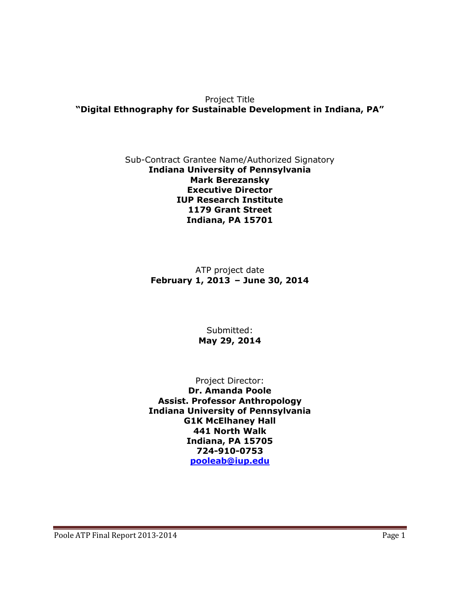Project Title **"Digital Ethnography for Sustainable Development in Indiana, PA"**

#### Sub-Contract Grantee Name/Authorized Signatory **Indiana University of Pennsylvania Mark Berezansky Executive Director IUP Research Institute 1179 Grant Street Indiana, PA 15701**

ATP project date **February 1, 2013 – June 30, 2014**

### Submitted: **May 29, 2014**

Project Director:

**Dr. Amanda Poole Assist. Professor Anthropology Indiana University of Pennsylvania G1K McElhaney Hall 441 North Walk Indiana, PA 15705 724-910-0753 [pooleab@iup.edu](mailto:pooleab@iup.edu)**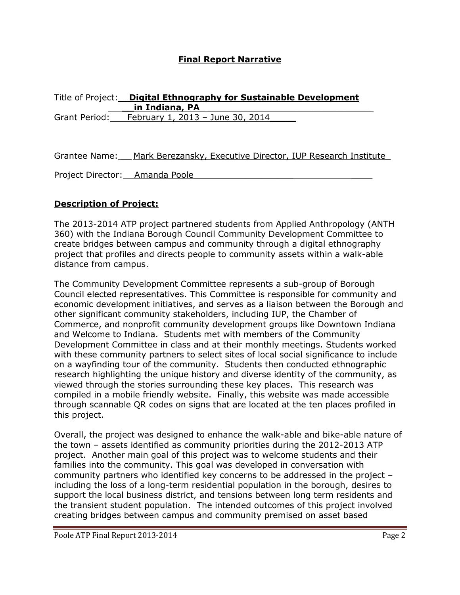### **Final Report Narrative**

| Title of Project: | <b>Digital Ethnography for Sustainable Development</b> |
|-------------------|--------------------------------------------------------|
|                   | in Indiana, PA                                         |
| Grant Period:     | February 1, 2013 - June 30, 2014                       |

Grantee Name: \_\_ Mark Berezansky, Executive Director, IUP Research Institute\_

Project Director: Amanda Poole

### **Description of Project:**

The 2013-2014 ATP project partnered students from Applied Anthropology (ANTH 360) with the Indiana Borough Council Community Development Committee to create bridges between campus and community through a digital ethnography project that profiles and directs people to community assets within a walk-able distance from campus.

The Community Development Committee represents a sub-group of Borough Council elected representatives. This Committee is responsible for community and economic development initiatives, and serves as a liaison between the Borough and other significant community stakeholders, including IUP, the Chamber of Commerce, and nonprofit community development groups like Downtown Indiana and Welcome to Indiana. Students met with members of the Community Development Committee in class and at their monthly meetings. Students worked with these community partners to select sites of local social significance to include on a wayfinding tour of the community. Students then conducted ethnographic research highlighting the unique history and diverse identity of the community, as viewed through the stories surrounding these key places. This research was compiled in a mobile friendly website. Finally, this website was made accessible through scannable QR codes on signs that are located at the ten places profiled in this project.

Overall, the project was designed to enhance the walk-able and bike-able nature of the town – assets identified as community priorities during the 2012-2013 ATP project. Another main goal of this project was to welcome students and their families into the community. This goal was developed in conversation with community partners who identified key concerns to be addressed in the project – including the loss of a long-term residential population in the borough, desires to support the local business district, and tensions between long term residents and the transient student population. The intended outcomes of this project involved creating bridges between campus and community premised on asset based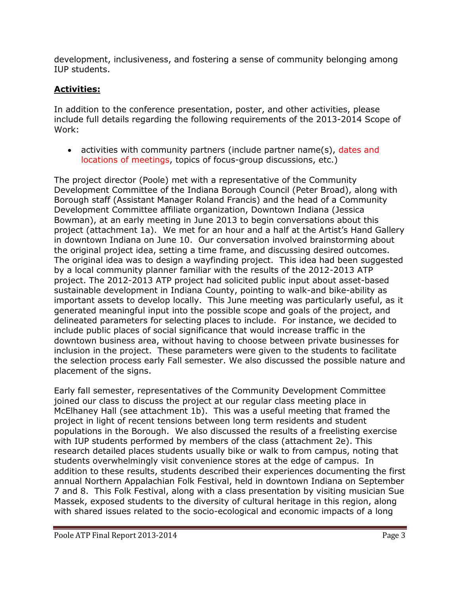development, inclusiveness, and fostering a sense of community belonging among IUP students.

## **Activities:**

In addition to the conference presentation, poster, and other activities, please include full details regarding the following requirements of the 2013-2014 Scope of Work:

• activities with community partners (include partner name(s), dates and locations of meetings, topics of focus-group discussions, etc.)

The project director (Poole) met with a representative of the Community Development Committee of the Indiana Borough Council (Peter Broad), along with Borough staff (Assistant Manager Roland Francis) and the head of a Community Development Committee affiliate organization, Downtown Indiana (Jessica Bowman), at an early meeting in June 2013 to begin conversations about this project (attachment 1a). We met for an hour and a half at the Artist's Hand Gallery in downtown Indiana on June 10. Our conversation involved brainstorming about the original project idea, setting a time frame, and discussing desired outcomes. The original idea was to design a wayfinding project. This idea had been suggested by a local community planner familiar with the results of the 2012-2013 ATP project. The 2012-2013 ATP project had solicited public input about asset-based sustainable development in Indiana County, pointing to walk-and bike-ability as important assets to develop locally. This June meeting was particularly useful, as it generated meaningful input into the possible scope and goals of the project, and delineated parameters for selecting places to include. For instance, we decided to include public places of social significance that would increase traffic in the downtown business area, without having to choose between private businesses for inclusion in the project. These parameters were given to the students to facilitate the selection process early Fall semester. We also discussed the possible nature and placement of the signs.

Early fall semester, representatives of the Community Development Committee joined our class to discuss the project at our regular class meeting place in McElhaney Hall (see attachment 1b). This was a useful meeting that framed the project in light of recent tensions between long term residents and student populations in the Borough. We also discussed the results of a freelisting exercise with IUP students performed by members of the class (attachment 2e). This research detailed places students usually bike or walk to from campus, noting that students overwhelmingly visit convenience stores at the edge of campus. In addition to these results, students described their experiences documenting the first annual Northern Appalachian Folk Festival, held in downtown Indiana on September 7 and 8. This Folk Festival, along with a class presentation by visiting musician Sue Massek, exposed students to the diversity of cultural heritage in this region, along with shared issues related to the socio-ecological and economic impacts of a long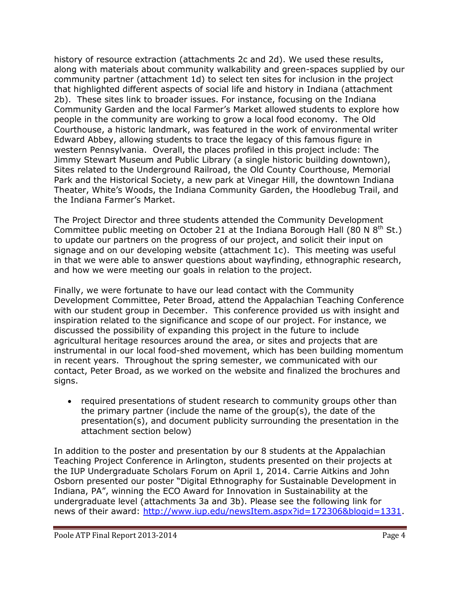history of resource extraction (attachments 2c and 2d). We used these results, along with materials about community walkability and green-spaces supplied by our community partner (attachment 1d) to select ten sites for inclusion in the project that highlighted different aspects of social life and history in Indiana (attachment 2b). These sites link to broader issues. For instance, focusing on the Indiana Community Garden and the local Farmer's Market allowed students to explore how people in the community are working to grow a local food economy. The Old Courthouse, a historic landmark, was featured in the work of environmental writer Edward Abbey, allowing students to trace the legacy of this famous figure in western Pennsylvania. Overall, the places profiled in this project include: The Jimmy Stewart Museum and Public Library (a single historic building downtown), Sites related to the Underground Railroad, the Old County Courthouse, Memorial Park and the Historical Society, a new park at Vinegar Hill, the downtown Indiana Theater, White's Woods, the Indiana Community Garden, the Hoodlebug Trail, and the Indiana Farmer's Market.

The Project Director and three students attended the Community Development Committee public meeting on October 21 at the Indiana Borough Hall (80 N  $8<sup>th</sup>$  St.) to update our partners on the progress of our project, and solicit their input on signage and on our developing website (attachment 1c). This meeting was useful in that we were able to answer questions about wayfinding, ethnographic research, and how we were meeting our goals in relation to the project.

Finally, we were fortunate to have our lead contact with the Community Development Committee, Peter Broad, attend the Appalachian Teaching Conference with our student group in December. This conference provided us with insight and inspiration related to the significance and scope of our project. For instance, we discussed the possibility of expanding this project in the future to include agricultural heritage resources around the area, or sites and projects that are instrumental in our local food-shed movement, which has been building momentum in recent years. Throughout the spring semester, we communicated with our contact, Peter Broad, as we worked on the website and finalized the brochures and signs.

• required presentations of student research to community groups other than the primary partner (include the name of the group(s), the date of the presentation(s), and document publicity surrounding the presentation in the attachment section below)

In addition to the poster and presentation by our 8 students at the Appalachian Teaching Project Conference in Arlington, students presented on their projects at the IUP Undergraduate Scholars Forum on April 1, 2014. Carrie Aitkins and John Osborn presented our poster "Digital Ethnography for Sustainable Development in Indiana, PA", winning the ECO Award for Innovation in Sustainability at the undergraduate level (attachments 3a and 3b). Please see the following link for news of their award: [http://www.iup.edu/newsItem.aspx?id=172306&blogid=1331.](http://www.iup.edu/newsItem.aspx?id=172306&blogid=1331)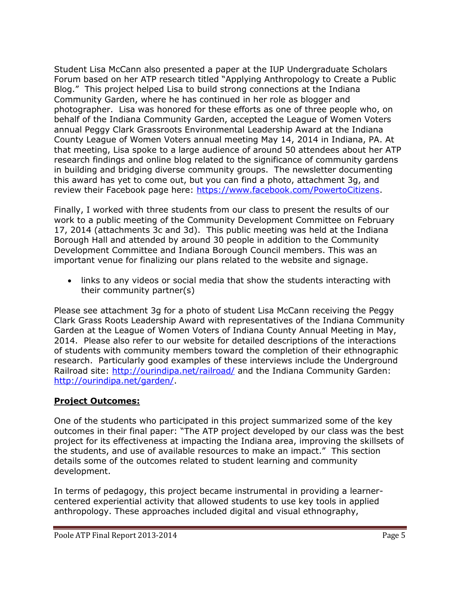Student Lisa McCann also presented a paper at the IUP Undergraduate Scholars Forum based on her ATP research titled "Applying Anthropology to Create a Public Blog." This project helped Lisa to build strong connections at the Indiana Community Garden, where he has continued in her role as blogger and photographer. Lisa was honored for these efforts as one of three people who, on behalf of the Indiana Community Garden, accepted the League of Women Voters annual Peggy Clark Grassroots Environmental Leadership Award at the Indiana County League of Women Voters annual meeting May 14, 2014 in Indiana, PA. At that meeting, Lisa spoke to a large audience of around 50 attendees about her ATP research findings and online blog related to the significance of community gardens in building and bridging diverse community groups. The newsletter documenting this award has yet to come out, but you can find a photo, attachment 3g, and review their Facebook page here: [https://www.facebook.com/PowertoCitizens.](https://www.facebook.com/PowertoCitizens)

Finally, I worked with three students from our class to present the results of our work to a public meeting of the Community Development Committee on February 17, 2014 (attachments 3c and 3d). This public meeting was held at the Indiana Borough Hall and attended by around 30 people in addition to the Community Development Committee and Indiana Borough Council members. This was an important venue for finalizing our plans related to the website and signage.

 links to any videos or social media that show the students interacting with their community partner(s)

Please see attachment 3g for a photo of student Lisa McCann receiving the Peggy Clark Grass Roots Leadership Award with representatives of the Indiana Community Garden at the League of Women Voters of Indiana County Annual Meeting in May, 2014. Please also refer to our website for detailed descriptions of the interactions of students with community members toward the completion of their ethnographic research. Particularly good examples of these interviews include the Underground Railroad site:<http://ourindipa.net/railroad/> and the Indiana Community Garden: [http://ourindipa.net/garden/.](http://ourindipa.net/garden/)

## **Project Outcomes:**

One of the students who participated in this project summarized some of the key outcomes in their final paper: "The ATP project developed by our class was the best project for its effectiveness at impacting the Indiana area, improving the skillsets of the students, and use of available resources to make an impact." This section details some of the outcomes related to student learning and community development.

In terms of pedagogy, this project became instrumental in providing a learnercentered experiential activity that allowed students to use key tools in applied anthropology. These approaches included digital and visual ethnography,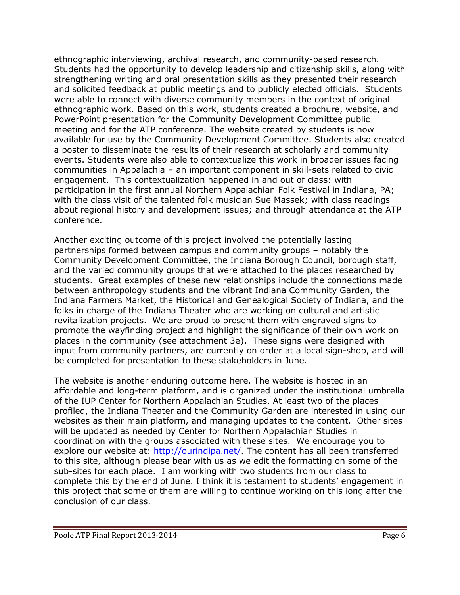ethnographic interviewing, archival research, and community-based research. Students had the opportunity to develop leadership and citizenship skills, along with strengthening writing and oral presentation skills as they presented their research and solicited feedback at public meetings and to publicly elected officials. Students were able to connect with diverse community members in the context of original ethnographic work. Based on this work, students created a brochure, website, and PowerPoint presentation for the Community Development Committee public meeting and for the ATP conference. The website created by students is now available for use by the Community Development Committee. Students also created a poster to disseminate the results of their research at scholarly and community events. Students were also able to contextualize this work in broader issues facing communities in Appalachia – an important component in skill-sets related to civic engagement. This contextualization happened in and out of class: with participation in the first annual Northern Appalachian Folk Festival in Indiana, PA; with the class visit of the talented folk musician Sue Massek; with class readings about regional history and development issues; and through attendance at the ATP conference.

Another exciting outcome of this project involved the potentially lasting partnerships formed between campus and community groups – notably the Community Development Committee, the Indiana Borough Council, borough staff, and the varied community groups that were attached to the places researched by students. Great examples of these new relationships include the connections made between anthropology students and the vibrant Indiana Community Garden, the Indiana Farmers Market, the Historical and Genealogical Society of Indiana, and the folks in charge of the Indiana Theater who are working on cultural and artistic revitalization projects. We are proud to present them with engraved signs to promote the wayfinding project and highlight the significance of their own work on places in the community (see attachment 3e). These signs were designed with input from community partners, are currently on order at a local sign-shop, and will be completed for presentation to these stakeholders in June.

The website is another enduring outcome here. The website is hosted in an affordable and long-term platform, and is organized under the institutional umbrella of the IUP Center for Northern Appalachian Studies. At least two of the places profiled, the Indiana Theater and the Community Garden are interested in using our websites as their main platform, and managing updates to the content. Other sites will be updated as needed by Center for Northern Appalachian Studies in coordination with the groups associated with these sites. We encourage you to explore our website at: [http://ourindipa.net/.](http://ourindipa.net/) The content has all been transferred to this site, although please bear with us as we edit the formatting on some of the sub-sites for each place. I am working with two students from our class to complete this by the end of June. I think it is testament to students' engagement in this project that some of them are willing to continue working on this long after the conclusion of our class.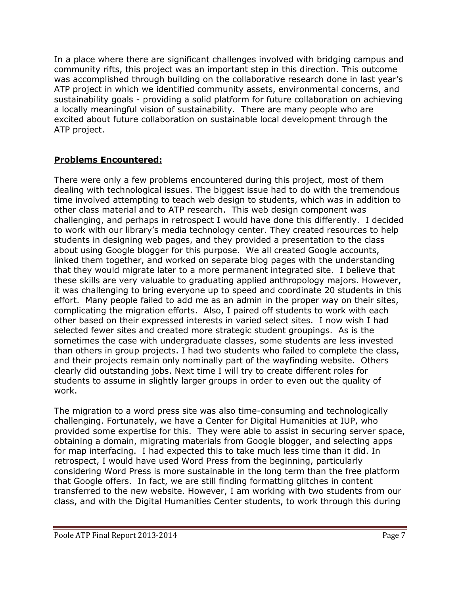In a place where there are significant challenges involved with bridging campus and community rifts, this project was an important step in this direction. This outcome was accomplished through building on the collaborative research done in last year's ATP project in which we identified community assets, environmental concerns, and sustainability goals - providing a solid platform for future collaboration on achieving a locally meaningful vision of sustainability. There are many people who are excited about future collaboration on sustainable local development through the ATP project.

## **Problems Encountered:**

There were only a few problems encountered during this project, most of them dealing with technological issues. The biggest issue had to do with the tremendous time involved attempting to teach web design to students, which was in addition to other class material and to ATP research. This web design component was challenging, and perhaps in retrospect I would have done this differently. I decided to work with our library's media technology center. They created resources to help students in designing web pages, and they provided a presentation to the class about using Google blogger for this purpose. We all created Google accounts, linked them together, and worked on separate blog pages with the understanding that they would migrate later to a more permanent integrated site. I believe that these skills are very valuable to graduating applied anthropology majors. However, it was challenging to bring everyone up to speed and coordinate 20 students in this effort. Many people failed to add me as an admin in the proper way on their sites, complicating the migration efforts. Also, I paired off students to work with each other based on their expressed interests in varied select sites. I now wish I had selected fewer sites and created more strategic student groupings. As is the sometimes the case with undergraduate classes, some students are less invested than others in group projects. I had two students who failed to complete the class, and their projects remain only nominally part of the wayfinding website. Others clearly did outstanding jobs. Next time I will try to create different roles for students to assume in slightly larger groups in order to even out the quality of work.

The migration to a word press site was also time-consuming and technologically challenging. Fortunately, we have a Center for Digital Humanities at IUP, who provided some expertise for this. They were able to assist in securing server space, obtaining a domain, migrating materials from Google blogger, and selecting apps for map interfacing. I had expected this to take much less time than it did. In retrospect, I would have used Word Press from the beginning, particularly considering Word Press is more sustainable in the long term than the free platform that Google offers. In fact, we are still finding formatting glitches in content transferred to the new website. However, I am working with two students from our class, and with the Digital Humanities Center students, to work through this during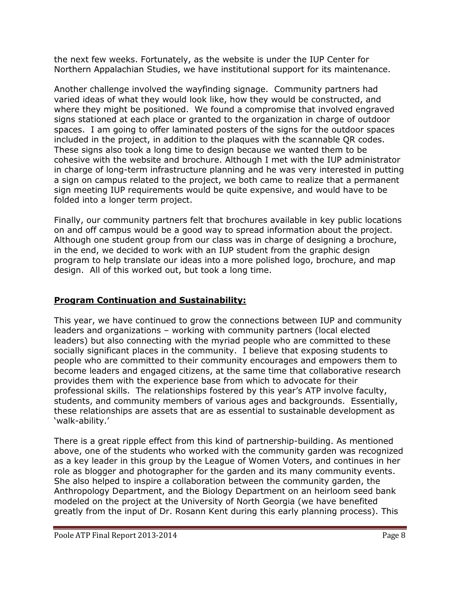the next few weeks. Fortunately, as the website is under the IUP Center for Northern Appalachian Studies, we have institutional support for its maintenance.

Another challenge involved the wayfinding signage. Community partners had varied ideas of what they would look like, how they would be constructed, and where they might be positioned. We found a compromise that involved engraved signs stationed at each place or granted to the organization in charge of outdoor spaces. I am going to offer laminated posters of the signs for the outdoor spaces included in the project, in addition to the plaques with the scannable QR codes. These signs also took a long time to design because we wanted them to be cohesive with the website and brochure. Although I met with the IUP administrator in charge of long-term infrastructure planning and he was very interested in putting a sign on campus related to the project, we both came to realize that a permanent sign meeting IUP requirements would be quite expensive, and would have to be folded into a longer term project.

Finally, our community partners felt that brochures available in key public locations on and off campus would be a good way to spread information about the project. Although one student group from our class was in charge of designing a brochure, in the end, we decided to work with an IUP student from the graphic design program to help translate our ideas into a more polished logo, brochure, and map design. All of this worked out, but took a long time.

# **Program Continuation and Sustainability:**

This year, we have continued to grow the connections between IUP and community leaders and organizations – working with community partners (local elected leaders) but also connecting with the myriad people who are committed to these socially significant places in the community. I believe that exposing students to people who are committed to their community encourages and empowers them to become leaders and engaged citizens, at the same time that collaborative research provides them with the experience base from which to advocate for their professional skills. The relationships fostered by this year's ATP involve faculty, students, and community members of various ages and backgrounds. Essentially, these relationships are assets that are as essential to sustainable development as 'walk-ability.'

There is a great ripple effect from this kind of partnership-building. As mentioned above, one of the students who worked with the community garden was recognized as a key leader in this group by the League of Women Voters, and continues in her role as blogger and photographer for the garden and its many community events. She also helped to inspire a collaboration between the community garden, the Anthropology Department, and the Biology Department on an heirloom seed bank modeled on the project at the University of North Georgia (we have benefited greatly from the input of Dr. Rosann Kent during this early planning process). This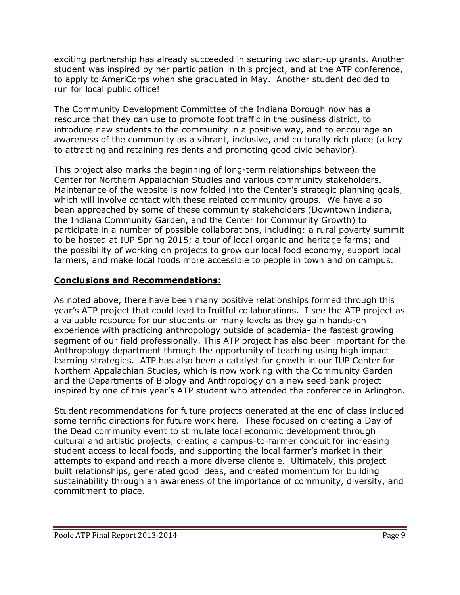exciting partnership has already succeeded in securing two start-up grants. Another student was inspired by her participation in this project, and at the ATP conference, to apply to AmeriCorps when she graduated in May. Another student decided to run for local public office!

The Community Development Committee of the Indiana Borough now has a resource that they can use to promote foot traffic in the business district, to introduce new students to the community in a positive way, and to encourage an awareness of the community as a vibrant, inclusive, and culturally rich place (a key to attracting and retaining residents and promoting good civic behavior).

This project also marks the beginning of long-term relationships between the Center for Northern Appalachian Studies and various community stakeholders. Maintenance of the website is now folded into the Center's strategic planning goals, which will involve contact with these related community groups. We have also been approached by some of these community stakeholders (Downtown Indiana, the Indiana Community Garden, and the Center for Community Growth) to participate in a number of possible collaborations, including: a rural poverty summit to be hosted at IUP Spring 2015; a tour of local organic and heritage farms; and the possibility of working on projects to grow our local food economy, support local farmers, and make local foods more accessible to people in town and on campus.

## **Conclusions and Recommendations:**

As noted above, there have been many positive relationships formed through this year's ATP project that could lead to fruitful collaborations. I see the ATP project as a valuable resource for our students on many levels as they gain hands-on experience with practicing anthropology outside of academia- the fastest growing segment of our field professionally. This ATP project has also been important for the Anthropology department through the opportunity of teaching using high impact learning strategies. ATP has also been a catalyst for growth in our IUP Center for Northern Appalachian Studies, which is now working with the Community Garden and the Departments of Biology and Anthropology on a new seed bank project inspired by one of this year's ATP student who attended the conference in Arlington.

Student recommendations for future projects generated at the end of class included some terrific directions for future work here. These focused on creating a Day of the Dead community event to stimulate local economic development through cultural and artistic projects, creating a campus-to-farmer conduit for increasing student access to local foods, and supporting the local farmer's market in their attempts to expand and reach a more diverse clientele. Ultimately, this project built relationships, generated good ideas, and created momentum for building sustainability through an awareness of the importance of community, diversity, and commitment to place.